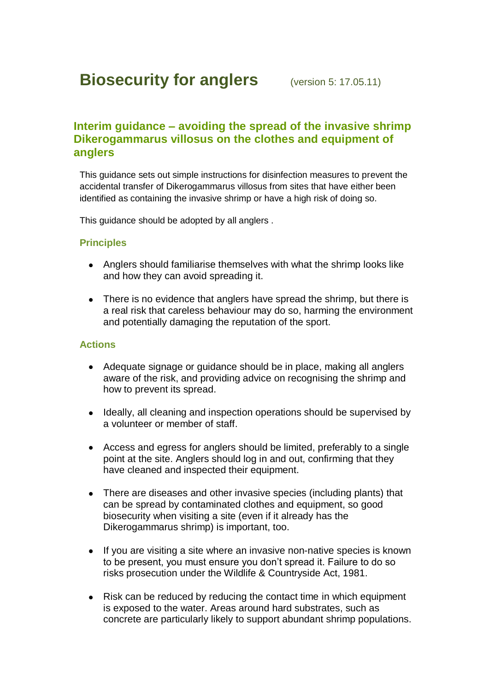# **Biosecurity for anglers** (version 5: 17.05.11)

# **Interim guidance – avoiding the spread of the invasive shrimp Dikerogammarus villosus on the clothes and equipment of anglers**

This guidance sets out simple instructions for disinfection measures to prevent the accidental transfer of Dikerogammarus villosus from sites that have either been identified as containing the invasive shrimp or have a high risk of doing so.

This guidance should be adopted by all anglers .

### **Principles**

- Anglers should familiarise themselves with what the shrimp looks like and how they can avoid spreading it.
- There is no evidence that anglers have spread the shrimp, but there is a real risk that careless behaviour may do so, harming the environment and potentially damaging the reputation of the sport.

#### **Actions**

- Adequate signage or guidance should be in place, making all anglers aware of the risk, and providing advice on recognising the shrimp and how to prevent its spread.
- $\bullet$ Ideally, all cleaning and inspection operations should be supervised by a volunteer or member of staff.
- Access and egress for anglers should be limited, preferably to a single  $\bullet$ point at the site. Anglers should log in and out, confirming that they have cleaned and inspected their equipment.
- There are diseases and other invasive species (including plants) that can be spread by contaminated clothes and equipment, so good biosecurity when visiting a site (even if it already has the Dikerogammarus shrimp) is important, too.
- If you are visiting a site where an invasive non-native species is known  $\bullet$ to be present, you must ensure you don't spread it. Failure to do so risks prosecution under the Wildlife & Countryside Act, 1981.
- Risk can be reduced by reducing the contact time in which equipment  $\bullet$ is exposed to the water. Areas around hard substrates, such as concrete are particularly likely to support abundant shrimp populations.